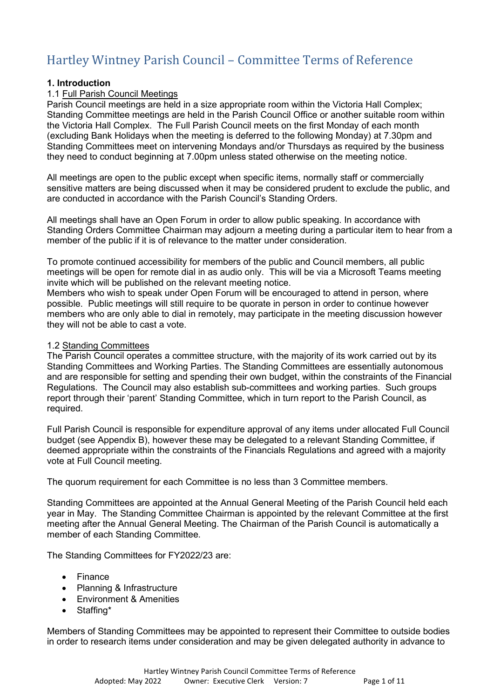# Hartley Wintney Parish Council – Committee Terms of Reference

#### **1. Introduction**

#### 1.1 Full Parish Council Meetings

Parish Council meetings are held in a size appropriate room within the Victoria Hall Complex; Standing Committee meetings are held in the Parish Council Office or another suitable room within the Victoria Hall Complex. The Full Parish Council meets on the first Monday of each month (excluding Bank Holidays when the meeting is deferred to the following Monday) at 7.30pm and Standing Committees meet on intervening Mondays and/or Thursdays as required by the business they need to conduct beginning at 7.00pm unless stated otherwise on the meeting notice.

All meetings are open to the public except when specific items, normally staff or commercially sensitive matters are being discussed when it may be considered prudent to exclude the public, and are conducted in accordance with the Parish Council's Standing Orders.

All meetings shall have an Open Forum in order to allow public speaking. In accordance with Standing Orders Committee Chairman may adjourn a meeting during a particular item to hear from a member of the public if it is of relevance to the matter under consideration.

To promote continued accessibility for members of the public and Council members, all public meetings will be open for remote dial in as audio only. This will be via a Microsoft Teams meeting invite which will be published on the relevant meeting notice.

Members who wish to speak under Open Forum will be encouraged to attend in person, where possible. Public meetings will still require to be quorate in person in order to continue however members who are only able to dial in remotely, may participate in the meeting discussion however they will not be able to cast a vote.

#### 1.2 Standing Committees

The Parish Council operates a committee structure, with the majority of its work carried out by its Standing Committees and Working Parties. The Standing Committees are essentially autonomous and are responsible for setting and spending their own budget, within the constraints of the Financial Regulations. The Council may also establish sub-committees and working parties. Such groups report through their 'parent' Standing Committee, which in turn report to the Parish Council, as required.

Full Parish Council is responsible for expenditure approval of any items under allocated Full Council budget (see Appendix B), however these may be delegated to a relevant Standing Committee, if deemed appropriate within the constraints of the Financials Regulations and agreed with a majority vote at Full Council meeting.

The quorum requirement for each Committee is no less than 3 Committee members.

Standing Committees are appointed at the Annual General Meeting of the Parish Council held each year in May. The Standing Committee Chairman is appointed by the relevant Committee at the first meeting after the Annual General Meeting. The Chairman of the Parish Council is automatically a member of each Standing Committee.

The Standing Committees for FY2022/23 are:

- **Finance**
- Planning & Infrastructure
- Environment & Amenities
- Staffing\*

Members of Standing Committees may be appointed to represent their Committee to outside bodies in order to research items under consideration and may be given delegated authority in advance to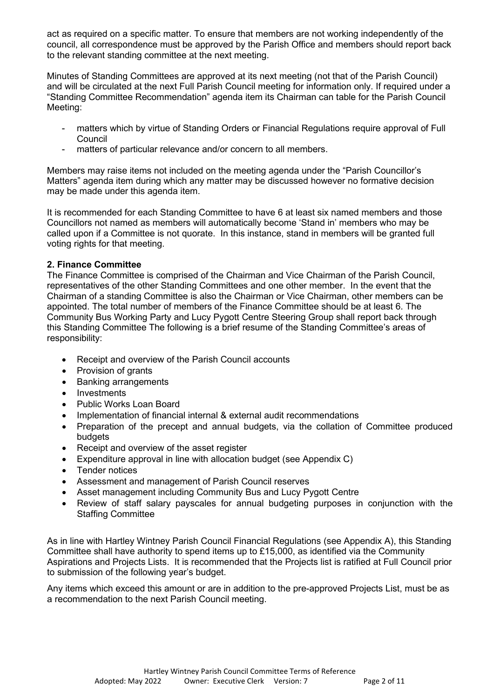act as required on a specific matter. To ensure that members are not working independently of the council, all correspondence must be approved by the Parish Office and members should report back to the relevant standing committee at the next meeting.

Minutes of Standing Committees are approved at its next meeting (not that of the Parish Council) and will be circulated at the next Full Parish Council meeting for information only. If required under a "Standing Committee Recommendation" agenda item its Chairman can table for the Parish Council Meeting:

- matters which by virtue of Standing Orders or Financial Regulations require approval of Full Council
- matters of particular relevance and/or concern to all members.

Members may raise items not included on the meeting agenda under the "Parish Councillor's Matters" agenda item during which any matter may be discussed however no formative decision may be made under this agenda item.

It is recommended for each Standing Committee to have 6 at least six named members and those Councillors not named as members will automatically become 'Stand in' members who may be called upon if a Committee is not quorate. In this instance, stand in members will be granted full voting rights for that meeting.

#### **2. Finance Committee**

The Finance Committee is comprised of the Chairman and Vice Chairman of the Parish Council, representatives of the other Standing Committees and one other member. In the event that the Chairman of a standing Committee is also the Chairman or Vice Chairman, other members can be appointed. The total number of members of the Finance Committee should be at least 6. The Community Bus Working Party and Lucy Pygott Centre Steering Group shall report back through this Standing Committee The following is a brief resume of the Standing Committee's areas of responsibility:

- Receipt and overview of the Parish Council accounts
- Provision of grants
- Banking arrangements
- Investments
- Public Works Loan Board
- Implementation of financial internal & external audit recommendations
- Preparation of the precept and annual budgets, via the collation of Committee produced budgets
- Receipt and overview of the asset register
- Expenditure approval in line with allocation budget (see Appendix C)
- Tender notices
- Assessment and management of Parish Council reserves
- Asset management including Community Bus and Lucy Pygott Centre
- Review of staff salary payscales for annual budgeting purposes in conjunction with the Staffing Committee

As in line with Hartley Wintney Parish Council Financial Regulations (see Appendix A), this Standing Committee shall have authority to spend items up to £15,000, as identified via the Community Aspirations and Projects Lists. It is recommended that the Projects list is ratified at Full Council prior to submission of the following year's budget.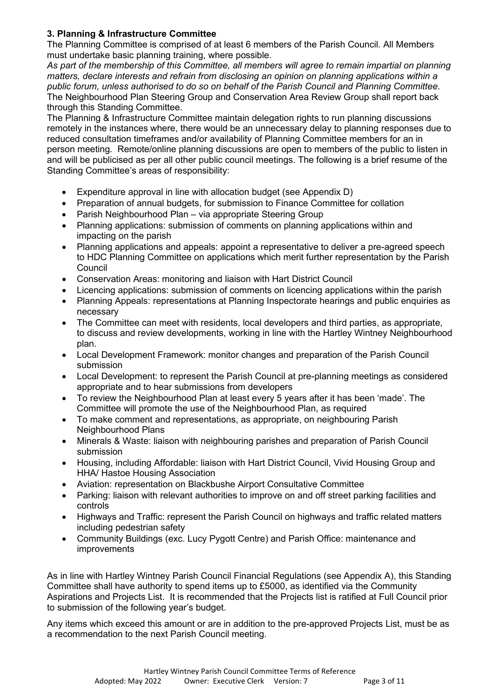# **3. Planning & Infrastructure Committee**

The Planning Committee is comprised of at least 6 members of the Parish Council. All Members must undertake basic planning training, where possible.

*As part of the membership of this Committee, all members will agree to remain impartial on planning matters, declare interests and refrain from disclosing an opinion on planning applications within a public forum, unless authorised to do so on behalf of the Parish Council and Planning Committee*. The Neighbourhood Plan Steering Group and Conservation Area Review Group shall report back through this Standing Committee.

The Planning & Infrastructure Committee maintain delegation rights to run planning discussions remotely in the instances where, there would be an unnecessary delay to planning responses due to reduced consultation timeframes and/or availability of Planning Committee members for an in person meeting. Remote/online planning discussions are open to members of the public to listen in and will be publicised as per all other public council meetings. The following is a brief resume of the Standing Committee's areas of responsibility:

- Expenditure approval in line with allocation budget (see Appendix D)
- Preparation of annual budgets, for submission to Finance Committee for collation
- Parish Neighbourhood Plan via appropriate Steering Group
- Planning applications: submission of comments on planning applications within and impacting on the parish
- Planning applications and appeals: appoint a representative to deliver a pre-agreed speech to HDC Planning Committee on applications which merit further representation by the Parish **Council**
- Conservation Areas: monitoring and liaison with Hart District Council
- Licencing applications: submission of comments on licencing applications within the parish
- Planning Appeals: representations at Planning Inspectorate hearings and public enquiries as necessary
- The Committee can meet with residents, local developers and third parties, as appropriate, to discuss and review developments, working in line with the Hartley Wintney Neighbourhood plan.
- Local Development Framework: monitor changes and preparation of the Parish Council submission
- Local Development: to represent the Parish Council at pre-planning meetings as considered appropriate and to hear submissions from developers
- To review the Neighbourhood Plan at least every 5 years after it has been 'made'. The Committee will promote the use of the Neighbourhood Plan, as required
- To make comment and representations, as appropriate, on neighbouring Parish Neighbourhood Plans
- Minerals & Waste: liaison with neighbouring parishes and preparation of Parish Council submission
- Housing, including Affordable: liaison with Hart District Council, Vivid Housing Group and HHA/ Hastoe Housing Association
- Aviation: representation on Blackbushe Airport Consultative Committee
- Parking: liaison with relevant authorities to improve on and off street parking facilities and controls
- Highways and Traffic: represent the Parish Council on highways and traffic related matters including pedestrian safety
- Community Buildings (exc. Lucy Pygott Centre) and Parish Office: maintenance and improvements

As in line with Hartley Wintney Parish Council Financial Regulations (see Appendix A), this Standing Committee shall have authority to spend items up to £5000, as identified via the Community Aspirations and Projects List. It is recommended that the Projects list is ratified at Full Council prior to submission of the following year's budget.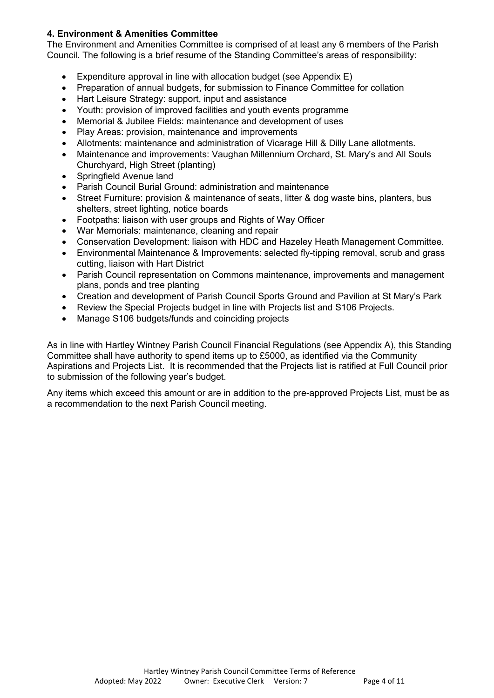### **4. Environment & Amenities Committee**

The Environment and Amenities Committee is comprised of at least any 6 members of the Parish Council. The following is a brief resume of the Standing Committee's areas of responsibility:

- Expenditure approval in line with allocation budget (see Appendix E)
- Preparation of annual budgets, for submission to Finance Committee for collation
- Hart Leisure Strategy: support, input and assistance
- Youth: provision of improved facilities and youth events programme
- Memorial & Jubilee Fields: maintenance and development of uses
- Play Areas: provision, maintenance and improvements
- Allotments: maintenance and administration of Vicarage Hill & Dilly Lane allotments.
- Maintenance and improvements: Vaughan Millennium Orchard, St. Mary's and All Souls Churchyard, High Street (planting)
- Springfield Avenue land
- Parish Council Burial Ground: administration and maintenance
- Street Furniture: provision & maintenance of seats, litter & dog waste bins, planters, bus shelters, street lighting, notice boards
- Footpaths: liaison with user groups and Rights of Way Officer
- War Memorials: maintenance, cleaning and repair
- Conservation Development: liaison with HDC and Hazeley Heath Management Committee.
- Environmental Maintenance & Improvements: selected fly-tipping removal, scrub and grass cutting, liaison with Hart District
- Parish Council representation on Commons maintenance, improvements and management plans, ponds and tree planting
- Creation and development of Parish Council Sports Ground and Pavilion at St Mary's Park
- Review the Special Projects budget in line with Projects list and S106 Projects.
- Manage S106 budgets/funds and coinciding projects

As in line with Hartley Wintney Parish Council Financial Regulations (see Appendix A), this Standing Committee shall have authority to spend items up to £5000, as identified via the Community Aspirations and Projects List. It is recommended that the Projects list is ratified at Full Council prior to submission of the following year's budget.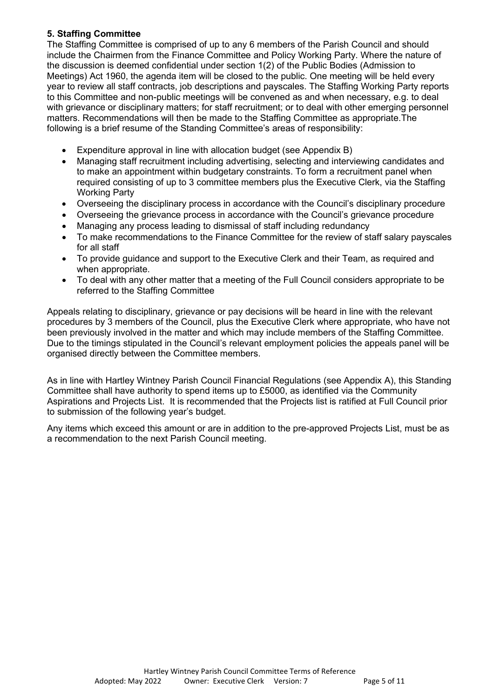### **5. Staffing Committee**

The Staffing Committee is comprised of up to any 6 members of the Parish Council and should include the Chairmen from the Finance Committee and Policy Working Party. Where the nature of the discussion is deemed confidential under section 1(2) of the Public Bodies (Admission to Meetings) Act 1960, the agenda item will be closed to the public. One meeting will be held every year to review all staff contracts, job descriptions and payscales. The Staffing Working Party reports to this Committee and non-public meetings will be convened as and when necessary, e.g. to deal with grievance or disciplinary matters; for staff recruitment; or to deal with other emerging personnel matters. Recommendations will then be made to the Staffing Committee as appropriate.The following is a brief resume of the Standing Committee's areas of responsibility:

- Expenditure approval in line with allocation budget (see Appendix B)
- Managing staff recruitment including advertising, selecting and interviewing candidates and to make an appointment within budgetary constraints. To form a recruitment panel when required consisting of up to 3 committee members plus the Executive Clerk, via the Staffing Working Party
- Overseeing the disciplinary process in accordance with the Council's disciplinary procedure
- Overseeing the grievance process in accordance with the Council's grievance procedure
- Managing any process leading to dismissal of staff including redundancy
- To make recommendations to the Finance Committee for the review of staff salary payscales for all staff
- To provide guidance and support to the Executive Clerk and their Team, as required and when appropriate.
- To deal with any other matter that a meeting of the Full Council considers appropriate to be referred to the Staffing Committee

Appeals relating to disciplinary, grievance or pay decisions will be heard in line with the relevant procedures by 3 members of the Council, plus the Executive Clerk where appropriate, who have not been previously involved in the matter and which may include members of the Staffing Committee. Due to the timings stipulated in the Council's relevant employment policies the appeals panel will be organised directly between the Committee members.

As in line with Hartley Wintney Parish Council Financial Regulations (see Appendix A), this Standing Committee shall have authority to spend items up to £5000, as identified via the Community Aspirations and Projects List. It is recommended that the Projects list is ratified at Full Council prior to submission of the following year's budget.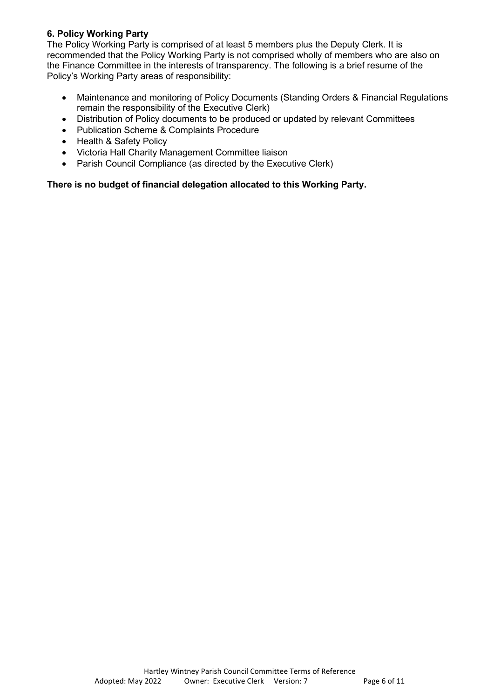#### **6. Policy Working Party**

The Policy Working Party is comprised of at least 5 members plus the Deputy Clerk. It is recommended that the Policy Working Party is not comprised wholly of members who are also on the Finance Committee in the interests of transparency. The following is a brief resume of the Policy's Working Party areas of responsibility:

- Maintenance and monitoring of Policy Documents (Standing Orders & Financial Regulations remain the responsibility of the Executive Clerk)
- Distribution of Policy documents to be produced or updated by relevant Committees
- Publication Scheme & Complaints Procedure
- Health & Safety Policy
- Victoria Hall Charity Management Committee liaison
- Parish Council Compliance (as directed by the Executive Clerk)

#### **There is no budget of financial delegation allocated to this Working Party.**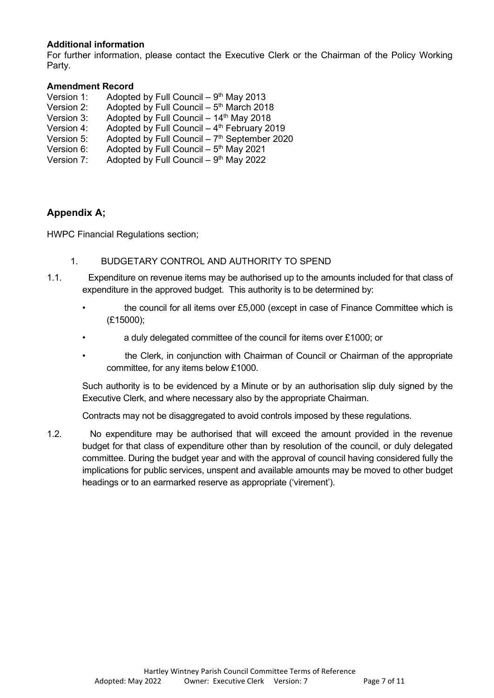#### **Additional information**

For further information, please contact the Executive Clerk or the Chairman of the Policy Working Party.

#### **Amendment Record**

| Version 1: | Adopted by Full Council $-9th$ May 2013                   |
|------------|-----------------------------------------------------------|
| Version 2: | Adopted by Full Council - 5 <sup>th</sup> March 2018      |
| Version 3: | Adopted by Full Council - 14th May 2018                   |
| Version 4: | Adopted by Full Council - 4th February 2019               |
| Version 5: | Adopted by Full Council $-7$ <sup>th</sup> September 2020 |
| Version 6: | Adopted by Full Council $-5$ <sup>th</sup> May 2021       |
| Version 7: | Adopted by Full Council $-9th$ May 2022                   |

# **Appendix A;**

HWPC Financial Regulations section;

- 1. BUDGETARY CONTROL AND AUTHORITY TO SPEND
- 1.1. Expenditure on revenue items may be authorised up to the amounts included for that class of expenditure in the approved budget. This authority is to be determined by:
	- the council for all items over £5,000 (except in case of Finance Committee which is (£15000);
	- a duly delegated committee of the council for items over £1000; or
	- the Clerk, in conjunction with Chairman of Council or Chairman of the appropriate committee, for any items below £1000.

Such authority is to be evidenced by a Minute or by an authorisation slip duly signed by the Executive Clerk, and where necessary also by the appropriate Chairman.

Contracts may not be disaggregated to avoid controls imposed by these regulations.

1.2. No expenditure may be authorised that will exceed the amount provided in the revenue budget for that class of expenditure other than by resolution of the council, or duly delegated committee. During the budget year and with the approval of council having considered fully the implications for public services, unspent and available amounts may be moved to other budget headings or to an earmarked reserve as appropriate ('virement').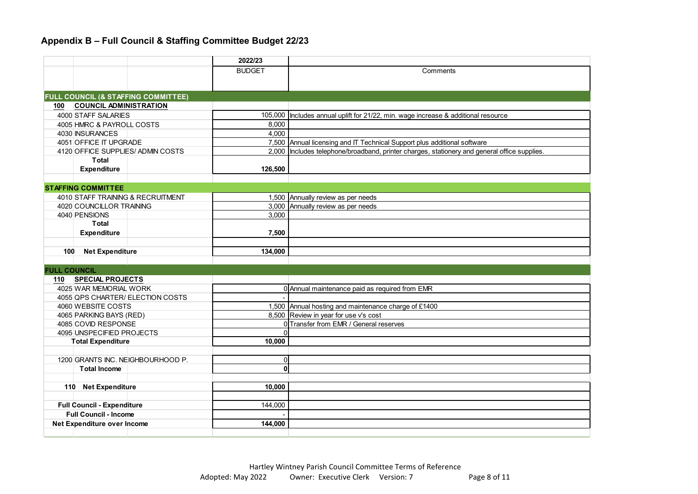# **Appendix B – Full Council & Staffing Committee Budget 22/23**

|                              |                                     | 2022/23       |                                                                                                |
|------------------------------|-------------------------------------|---------------|------------------------------------------------------------------------------------------------|
|                              |                                     | <b>BUDGET</b> | Comments                                                                                       |
|                              |                                     |               |                                                                                                |
|                              |                                     |               |                                                                                                |
|                              | FULL COUNCIL (& STAFFING COMMITTEE) |               |                                                                                                |
| 100                          | <b>COUNCIL ADMINISTRATION</b>       |               |                                                                                                |
|                              | 4000 STAFF SALARIES                 |               | 105,000   Includes annual uplift for 21/22, min. wage increase & additional resource           |
|                              | 4005 HMRC & PAYROLL COSTS           | 8.000         |                                                                                                |
|                              | 4030 INSURANCES                     | 4,000         |                                                                                                |
|                              | 4051 OFFICE IT UPGRADE              |               | 7,500 Annual licensing and IT Technical Support plus additional software                       |
|                              | 4120 OFFICE SUPPLIES/ADMIN COSTS    |               | 2,000   Includes telephone/broadband, printer charges, stationery and general office supplies. |
|                              | <b>Total</b>                        |               |                                                                                                |
|                              | <b>Expenditure</b>                  | 126,500       |                                                                                                |
|                              |                                     |               |                                                                                                |
|                              | <b>STAFFING COMMITTEE</b>           |               |                                                                                                |
|                              | 4010 STAFF TRAINING & RECRUITMENT   |               | 1,500 Annually review as per needs                                                             |
|                              | 4020 COUNCILLOR TRAINING            |               | 3,000 Annually review as per needs                                                             |
|                              | 4040 PENSIONS                       | 3.000         |                                                                                                |
|                              | <b>Total</b>                        |               |                                                                                                |
|                              | <b>Expenditure</b>                  | 7,500         |                                                                                                |
|                              |                                     |               |                                                                                                |
| 100                          | <b>Net Expenditure</b>              | 134,000       |                                                                                                |
| <b>FULL COUNCIL</b>          |                                     |               |                                                                                                |
| 110                          | <b>SPECIAL PROJECTS</b>             |               |                                                                                                |
|                              | 4025 WAR MEMORIAL WORK              |               | 0 Annual maintenance paid as required from EMR                                                 |
|                              | 4055 QPS CHARTER/ ELECTION COSTS    |               |                                                                                                |
|                              | 4060 WEBSITE COSTS                  |               | 1,500 Annual hosting and maintenance charge of £1400                                           |
|                              | 4065 PARKING BAYS (RED)             |               | 8,500 Review in year for use v's cost                                                          |
|                              | 4085 COVID RESPONSE                 |               | 0 Transfer from EMR / General reserves                                                         |
|                              | 4095 UNSPECIFIED PROJECTS           | $\Omega$      |                                                                                                |
|                              | <b>Total Expenditure</b>            | 10.000        |                                                                                                |
|                              |                                     |               |                                                                                                |
|                              | 1200 GRANTS INC. NEIGHBOURHOOD P.   | $\mathbf 0$   |                                                                                                |
|                              | <b>Total Income</b>                 | $\mathbf{0}$  |                                                                                                |
|                              |                                     |               |                                                                                                |
|                              | 110 Net Expenditure                 | 10.000        |                                                                                                |
|                              |                                     |               |                                                                                                |
|                              | <b>Full Council - Expenditure</b>   | 144,000       |                                                                                                |
| <b>Full Council - Income</b> |                                     |               |                                                                                                |
|                              | Net Expenditure over Income         | 144,000       |                                                                                                |
|                              |                                     |               |                                                                                                |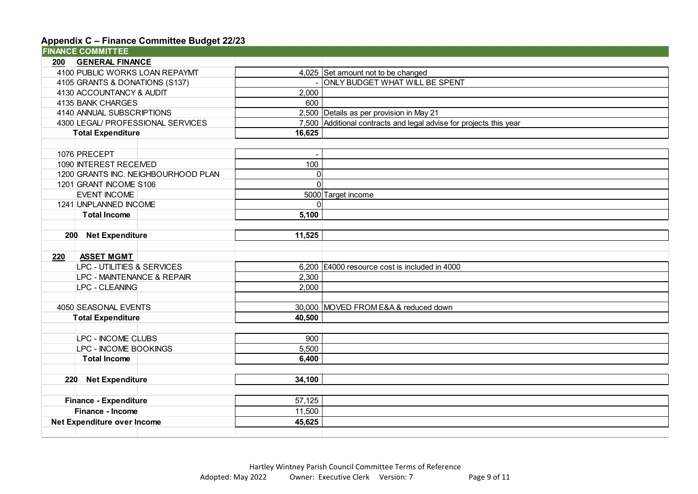# **Appendix C – Finance Committee Budget 22/23**

|                                        | <b>FINANCE COMMITTEE</b>            |             |                                                                    |
|----------------------------------------|-------------------------------------|-------------|--------------------------------------------------------------------|
| <b>200</b>                             | <b>GENERAL FINANCE</b>              |             |                                                                    |
|                                        | 4100 PUBLIC WORKS LOAN REPAYMT      |             | 4,025 Set amount not to be changed                                 |
|                                        | 4105 GRANTS & DONATIONS (S137)      |             | ONLY BUDGET WHAT WILL BE SPENT                                     |
|                                        | 4130 ACCOUNTANCY & AUDIT            | 2,000       |                                                                    |
|                                        | 4135 BANK CHARGES                   | 600         |                                                                    |
|                                        | 4140 ANNUAL SUBSCRIPTIONS           |             | 2,500 Details as per provision in May 21                           |
|                                        | 4300 LEGAL/ PROFESSIONAL SERVICES   |             | 7,500 Additional contracts and legal advise for projects this year |
|                                        | <b>Total Expenditure</b>            | 16,625      |                                                                    |
|                                        |                                     |             |                                                                    |
|                                        | 1076 PRECEPT                        |             |                                                                    |
|                                        | 1090 INTEREST RECEIVED              | 100         |                                                                    |
|                                        | 1200 GRANTS INC. NEIGHBOURHOOD PLAN | 0           |                                                                    |
|                                        | 1201 GRANT INCOME S106              | $\mathbf 0$ |                                                                    |
|                                        | <b>EVENT INCOME</b>                 |             | 5000 Target income                                                 |
|                                        | 1241 UNPLANNED INCOME               | $\Omega$    |                                                                    |
|                                        | <b>Total Income</b>                 | 5,100       |                                                                    |
|                                        |                                     |             |                                                                    |
|                                        | 200 Net Expenditure                 | 11,525      |                                                                    |
|                                        |                                     |             |                                                                    |
| 220                                    | <b>ASSET MGMT</b>                   |             |                                                                    |
|                                        | LPC - UTILITIES & SERVICES          |             | 6,200 $\left  \right $ £4000 resource cost is included in 4000     |
|                                        | LPC - MAINTENANCE & REPAIR          | 2,300       |                                                                    |
|                                        | LPC - CLEANING                      | 2,000       |                                                                    |
|                                        |                                     |             |                                                                    |
|                                        | 4050 SEASONAL EVENTS                |             | 30,000 MOVED FROM E&A & reduced down                               |
|                                        | <b>Total Expenditure</b>            | 40,500      |                                                                    |
|                                        |                                     |             |                                                                    |
|                                        | LPC - INCOME CLUBS                  | 900         |                                                                    |
|                                        | LPC - INCOME BOOKINGS               | 5,500       |                                                                    |
|                                        | <b>Total Income</b>                 | 6,400       |                                                                    |
|                                        |                                     |             |                                                                    |
|                                        | 220 Net Expenditure                 | 34,100      |                                                                    |
|                                        |                                     |             |                                                                    |
| <b>Finance - Expenditure</b><br>57,125 |                                     |             |                                                                    |
| Finance - Income                       |                                     | 11,500      |                                                                    |
| Net Expenditure over Income<br>45,625  |                                     |             |                                                                    |
|                                        |                                     |             |                                                                    |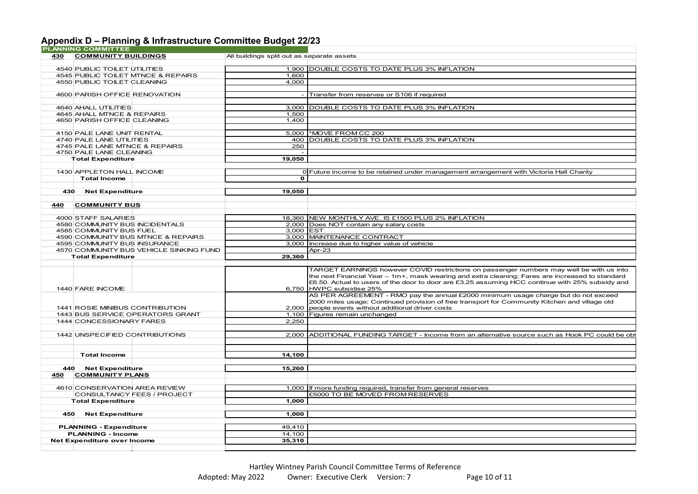# **Appendix D – Planning & Infrastructure Committee Budget 22/23**

|     | <b>PLANNING COMMITTEE</b>               |                                            |                                                                                                  |
|-----|-----------------------------------------|--------------------------------------------|--------------------------------------------------------------------------------------------------|
| 430 | <b>COMMUNITY BUILDINGS</b>              | All buildings split out as separate assets |                                                                                                  |
|     |                                         |                                            |                                                                                                  |
|     | 4540 PUBLIC TOILET UTILITIES            |                                            | 1,900 DOUBLE COSTS TO DATE PLUS 3% INFLATION                                                     |
|     | 4545 PUBLIC TOILET MTNCE & REPAIRS      | 1.600                                      |                                                                                                  |
|     | 4550 PUBLIC TOILET CLEANING             | 4,000                                      |                                                                                                  |
|     |                                         |                                            |                                                                                                  |
|     | 4600 PARISH OFFICE RENOVATION           |                                            | Transfer from reserves or S106 if required                                                       |
|     |                                         |                                            |                                                                                                  |
|     | 4640 AHALL UTILITIES                    |                                            | 3,000 DOUBLE COSTS TO DATE PLUS 3% INFLATION                                                     |
|     | 4645 AHALL MTNCE & REPAIRS              | 1,500                                      |                                                                                                  |
|     | 4650 PARISH OFFICE CLEANING             | 1.400                                      |                                                                                                  |
|     |                                         |                                            |                                                                                                  |
|     | 4150 PALE LANE UNIT RENTAL              |                                            | 5.000 MOVE FROM CC 200                                                                           |
|     | 4740 PALE LANE UTILITIES                |                                            | 400 DOUBLE COSTS TO DATE PLUS 3% INFLATION                                                       |
|     | 4745 PALE LANE MTNCE & REPAIRS          | 250                                        |                                                                                                  |
|     | 4750 PALE LANE CLEANING                 | $\sim$                                     |                                                                                                  |
|     | <b>Total Expenditure</b>                | 19,050                                     |                                                                                                  |
|     |                                         |                                            |                                                                                                  |
|     | 1430 APPLETON HALL INCOME               |                                            | 0 Future income to be retained under management arrangement with Victoria Hall Charity           |
|     | <b>Total Income</b>                     | $\mathbf{o}$                               |                                                                                                  |
|     |                                         |                                            |                                                                                                  |
| 430 | <b>Net Expenditure</b>                  | 19,050                                     |                                                                                                  |
|     |                                         |                                            |                                                                                                  |
| 440 | <b>COMMUNITY BUS</b>                    |                                            |                                                                                                  |
|     |                                         |                                            |                                                                                                  |
|     | 4000 STAFF SALARIES                     |                                            | 18,360 NEW MONTHLY AVE. IS £1500 PLUS 2% INFLATION                                               |
|     | 4580 COMMUNITY BUS INCIDENTALS          |                                            | 2,000 Does NOT contain any salary costs                                                          |
|     | 4585 COMMUNITY BUS FUEL                 | 3.000 EST.                                 |                                                                                                  |
|     | 4590 COMMUNITY BUS MTNCE & REPAIRS      |                                            | 3,000 MAINTENANCE CONTRACT                                                                       |
|     | 4595 COMMUNITY BUS INSURANCE            |                                            | 3,000 Increase due to higher value of vehicle                                                    |
|     | 4570 COMMUNITY BUS VEHICLE SINKING FUND |                                            | Apr-23                                                                                           |
|     | <b>Total Expenditure</b>                | 29,360                                     |                                                                                                  |
|     |                                         |                                            |                                                                                                  |
|     |                                         |                                            | TARGET EARNINGS however COVID restrictions on passenger numbers may well be with us into         |
|     |                                         |                                            | the next Financial Year - 1m+, mask wearing and extra cleaning; Fares are increased to standard  |
|     |                                         |                                            | £6.50. Actual to users of the door to door are £3.25 assuming HCC continue with 25% subsidy and  |
|     | 1440 FARE INCOME                        |                                            | 6,750 HWPC subsidise 25%                                                                         |
|     |                                         |                                            | AS PER AGREEMENT - RMO pay the annual £2000 minimum usage charge but do not exceed               |
|     |                                         |                                            | 2000 miles usage; Continued provision of free transport for Community Kitchen and village old    |
|     | 1441 ROSIE MINIBUS CONTRIBUTION         |                                            | 2,000 people events without additional driver costs                                              |
|     | 1443 BUS SERVICE OPERATORS GRANT        |                                            | 1,100 Figures remain unchanged                                                                   |
|     | 1444 CONCESSIONARY FARES                | 2,250                                      |                                                                                                  |
|     |                                         |                                            |                                                                                                  |
|     | 1442 UNSPECIFIED CONTRIBUTIONS          |                                            | 2,000 ADDITIONAL FUNDING TARGET - Income from an alternative source such as Hook PC could be obt |
|     |                                         |                                            |                                                                                                  |
|     |                                         |                                            |                                                                                                  |
|     | <b>Total Income</b>                     | 14,100                                     |                                                                                                  |
|     |                                         |                                            |                                                                                                  |
|     | 440 Net Expenditure                     | 15,260                                     |                                                                                                  |
| 450 | <b>COMMUNITY PLANS</b>                  |                                            |                                                                                                  |
|     |                                         |                                            |                                                                                                  |
|     | 4610 CONSERVATION AREA REVIEW           |                                            | 1,000   If more funding required, transfer from general reserves                                 |
|     | <b>CONSULTANCY FEES / PROJECT</b>       |                                            | £5000 TO BE MOVED FROM RESERVES                                                                  |
|     | <b>Total Expenditure</b>                | 1,000                                      |                                                                                                  |
|     |                                         |                                            |                                                                                                  |
| 450 | <b>Net Expenditure</b>                  | 1,000                                      |                                                                                                  |
|     |                                         |                                            |                                                                                                  |
|     | <b>PLANNING - Expenditure</b>           | 49,410                                     |                                                                                                  |
|     | <b>PLANNING - Income</b>                | 14.100                                     |                                                                                                  |
|     | Net Expenditure over Income             | 35,310                                     |                                                                                                  |
|     |                                         |                                            |                                                                                                  |
|     |                                         |                                            |                                                                                                  |